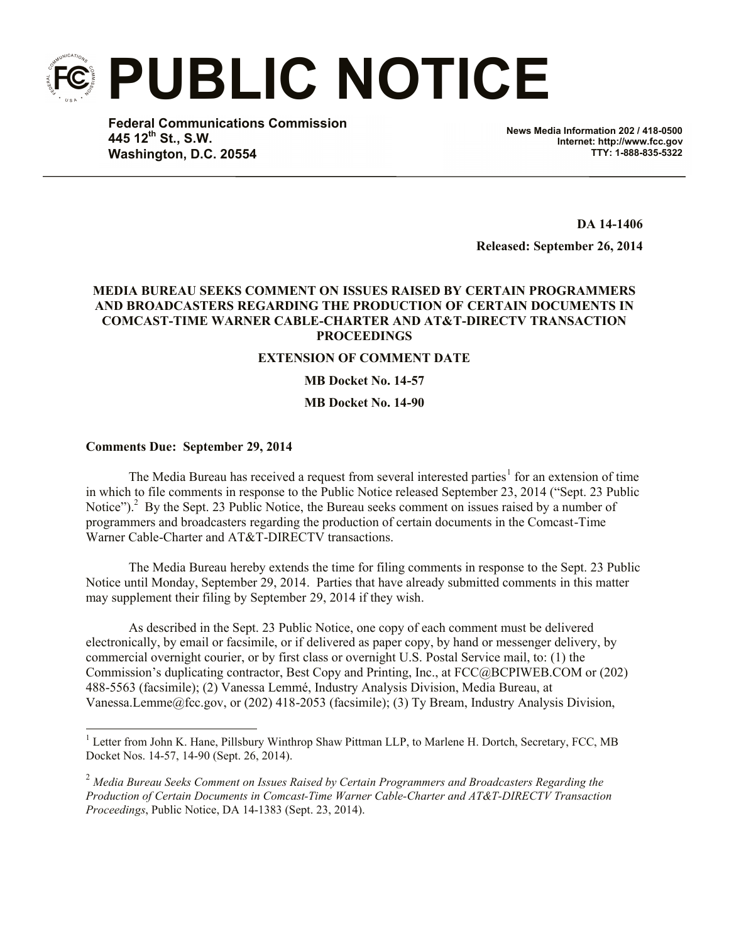**PUBLIC NOTICE**

**Federal Communications Commission 445 12th St., S.W. Washington, D.C. 20554**

**News Media Information 202 / 418-0500 Internet: http://www.fcc.gov TTY: 1-888-835-5322**

**DA 14-1406**

**Released: September 26, 2014**

## **MEDIA BUREAU SEEKS COMMENT ON ISSUES RAISED BY CERTAIN PROGRAMMERS AND BROADCASTERS REGARDING THE PRODUCTION OF CERTAIN DOCUMENTS IN COMCAST-TIME WARNER CABLE-CHARTER AND AT&T-DIRECTV TRANSACTION PROCEEDINGS**

## **EXTENSION OF COMMENT DATE**

**MB Docket No. 14-57**

**MB Docket No. 14-90**

## **Comments Due: September 29, 2014**

l

The Media Bureau has received a request from several interested parties<sup>1</sup> for an extension of time in which to file comments in response to the Public Notice released September 23, 2014 ("Sept. 23 Public Notice").<sup>2</sup> By the Sept. 23 Public Notice, the Bureau seeks comment on issues raised by a number of programmers and broadcasters regarding the production of certain documents in the Comcast-Time Warner Cable-Charter and AT&T-DIRECTV transactions.

The Media Bureau hereby extends the time for filing comments in response to the Sept. 23 Public Notice until Monday, September 29, 2014. Parties that have already submitted comments in this matter may supplement their filing by September 29, 2014 if they wish.

As described in the Sept. 23 Public Notice, one copy of each comment must be delivered electronically, by email or facsimile, or if delivered as paper copy, by hand or messenger delivery, by commercial overnight courier, or by first class or overnight U.S. Postal Service mail, to: (1) the Commission's duplicating contractor, Best Copy and Printing, Inc., at FCC@BCPIWEB.COM or (202) 488-5563 (facsimile); (2) Vanessa Lemmé, Industry Analysis Division, Media Bureau, at Vanessa.Lemme@fcc.gov, or (202) 418-2053 (facsimile); (3) Ty Bream, Industry Analysis Division,

<sup>&</sup>lt;sup>1</sup> Letter from John K. Hane, Pillsbury Winthrop Shaw Pittman LLP, to Marlene H. Dortch, Secretary, FCC, MB Docket Nos. 14-57, 14-90 (Sept. 26, 2014).

<sup>2</sup> *Media Bureau Seeks Comment on Issues Raised by Certain Programmers and Broadcasters Regarding the Production of Certain Documents in Comcast-Time Warner Cable-Charter and AT&T-DIRECTV Transaction Proceedings*, Public Notice, DA 14-1383 (Sept. 23, 2014).